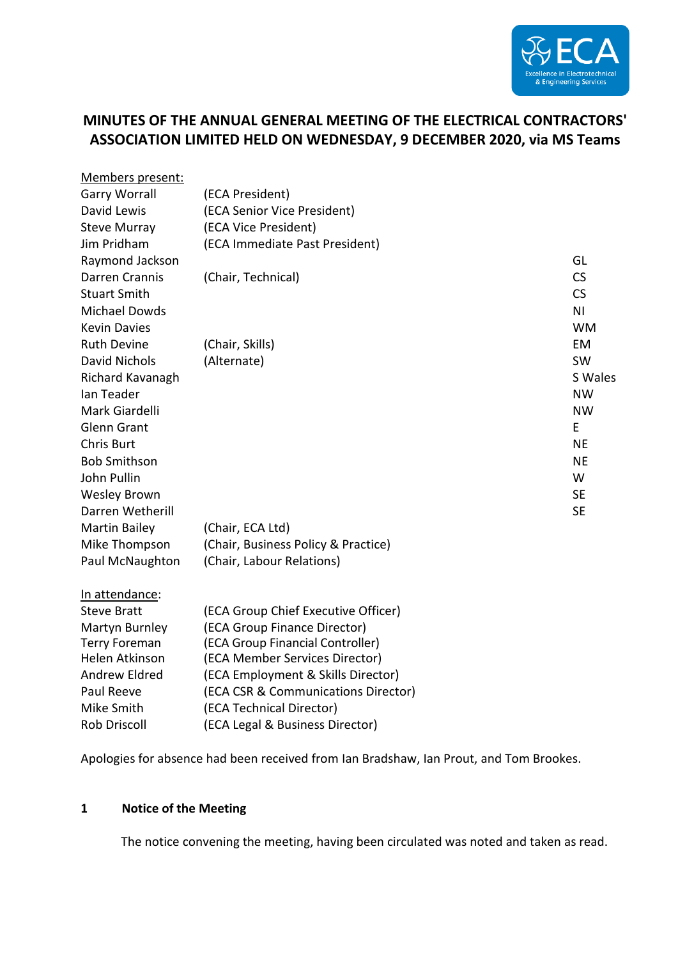

# **MINUTES OF THE ANNUAL GENERAL MEETING OF THE ELECTRICAL CONTRACTORS' ASSOCIATION LIMITED HELD ON WEDNESDAY, 9 DECEMBER 2020, via MS Teams**

| Members present:      |                                     |                |
|-----------------------|-------------------------------------|----------------|
| <b>Garry Worrall</b>  | (ECA President)                     |                |
| David Lewis           | (ECA Senior Vice President)         |                |
| <b>Steve Murray</b>   | (ECA Vice President)                |                |
| Jim Pridham           | (ECA Immediate Past President)      |                |
| Raymond Jackson       |                                     | GL             |
| <b>Darren Crannis</b> | (Chair, Technical)                  | CS             |
| <b>Stuart Smith</b>   |                                     | <b>CS</b>      |
| <b>Michael Dowds</b>  |                                     | N <sub>1</sub> |
| <b>Kevin Davies</b>   |                                     | <b>WM</b>      |
| <b>Ruth Devine</b>    | (Chair, Skills)                     | EM             |
| <b>David Nichols</b>  | (Alternate)                         | <b>SW</b>      |
| Richard Kavanagh      |                                     | S Wales        |
| Ian Teader            |                                     | <b>NW</b>      |
| Mark Giardelli        |                                     | <b>NW</b>      |
| <b>Glenn Grant</b>    |                                     | E              |
| <b>Chris Burt</b>     |                                     | <b>NE</b>      |
| <b>Bob Smithson</b>   |                                     | <b>NE</b>      |
| John Pullin           |                                     | W              |
| <b>Wesley Brown</b>   |                                     | <b>SE</b>      |
| Darren Wetherill      |                                     | <b>SE</b>      |
| <b>Martin Bailey</b>  | (Chair, ECA Ltd)                    |                |
| Mike Thompson         | (Chair, Business Policy & Practice) |                |
| Paul McNaughton       | (Chair, Labour Relations)           |                |
| In attendance:        |                                     |                |
| <b>Steve Bratt</b>    | (ECA Group Chief Executive Officer) |                |
| Martyn Burnley        | (ECA Group Finance Director)        |                |
| <b>Terry Foreman</b>  | (ECA Group Financial Controller)    |                |
| Helen Atkinson        | (ECA Member Services Director)      |                |
| <b>Andrew Eldred</b>  | (ECA Employment & Skills Director)  |                |
| Paul Reeve            | (ECA CSR & Communications Director) |                |
| Mike Smith            | (ECA Technical Director)            |                |
| <b>Rob Driscoll</b>   | (ECA Legal & Business Director)     |                |

Apologies for absence had been received from Ian Bradshaw, Ian Prout, and Tom Brookes.

#### **1 Notice of the Meeting**

The notice convening the meeting, having been circulated was noted and taken as read.